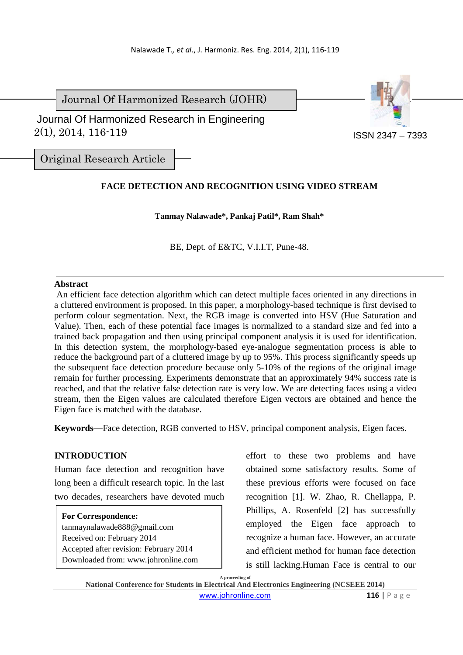Journal Of Harmonized Research (JOHR)



 2(1), 2014, 116-119 Journal Of Harmonized Research in Engineering

Original Research Article

# **FACE DETECTION AND RECOGNITION USING VIDEO STREAM**

**Tanmay Nalawade\*, Pankaj Patil\*, Ram Shah\*** 

BE, Dept. of E&TC, V.I.I.T, Pune-48.

#### **Abstract**

 An efficient face detection algorithm which can detect multiple faces oriented in any directions in a cluttered environment is proposed. In this paper, a morphology-based technique is first devised to perform colour segmentation. Next, the RGB image is converted into HSV (Hue Saturation and Value). Then, each of these potential face images is normalized to a standard size and fed into a trained back propagation and then using principal component analysis it is used for identification. In this detection system, the morphology-based eye-analogue segmentation process is able to reduce the background part of a cluttered image by up to 95%. This process significantly speeds up the subsequent face detection procedure because only 5-10% of the regions of the original image remain for further processing. Experiments demonstrate that an approximately 94% success rate is reached, and that the relative false detection rate is very low. We are detecting faces using a video stream, then the Eigen values are calculated therefore Eigen vectors are obtained and hence the Eigen face is matched with the database.

**Keywords—**Face detection, RGB converted to HSV, principal component analysis, Eigen faces.

## **INTRODUCTION**

Human face detection and recognition have long been a difficult research topic. In the last two decades, researchers have devoted much

**For Correspondence:**  tanmaynalawade888@gmail.com Received on: February 2014 Accepted after revision: February 2014 Downloaded from: www.johronline.com effort to these two problems and have obtained some satisfactory results. Some of these previous efforts were focused on face recognition [1]. W. Zhao, R. Chellappa, P. Phillips, A. Rosenfeld [2] has successfully employed the Eigen face approach to recognize a human face. However, an accurate and efficient method for human face detection is still lacking.Human Face is central to our

**A proceeding of National Conference for Students in Electrical And Electronics Engineering (NCSEEE 2014)**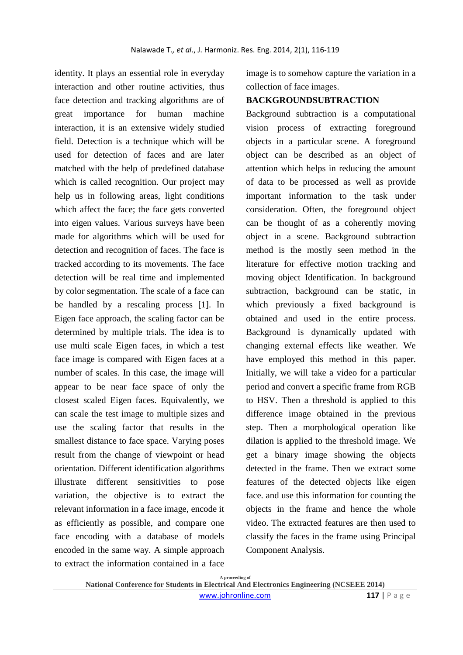identity. It plays an essential role in everyday interaction and other routine activities, thus face detection and tracking algorithms are of great importance for human machine interaction, it is an extensive widely studied field. Detection is a technique which will be used for detection of faces and are later matched with the help of predefined database which is called recognition. Our project may help us in following areas, light conditions which affect the face; the face gets converted into eigen values. Various surveys have been made for algorithms which will be used for detection and recognition of faces. The face is tracked according to its movements. The face detection will be real time and implemented by color segmentation. The scale of a face can be handled by a rescaling process [1]. In Eigen face approach, the scaling factor can be determined by multiple trials. The idea is to use multi scale Eigen faces, in which a test face image is compared with Eigen faces at a number of scales. In this case, the image will appear to be near face space of only the closest scaled Eigen faces. Equivalently, we can scale the test image to multiple sizes and use the scaling factor that results in the smallest distance to face space. Varying poses result from the change of viewpoint or head orientation. Different identification algorithms illustrate different sensitivities to pose variation, the objective is to extract the relevant information in a face image, encode it as efficiently as possible, and compare one face encoding with a database of models encoded in the same way. A simple approach to extract the information contained in a face

image is to somehow capture the variation in a collection of face images.

### **BACKGROUNDSUBTRACTION**

Background subtraction is a computational vision process of extracting foreground objects in a particular scene. A foreground object can be described as an object of attention which helps in reducing the amount of data to be processed as well as provide important information to the task under consideration. Often, the foreground object can be thought of as a coherently moving object in a scene. Background subtraction method is the mostly seen method in the literature for effective motion tracking and moving object Identification. In background subtraction, background can be static, in which previously a fixed background is obtained and used in the entire process. Background is dynamically updated with changing external effects like weather. We have employed this method in this paper. Initially, we will take a video for a particular period and convert a specific frame from RGB to HSV. Then a threshold is applied to this difference image obtained in the previous step. Then a morphological operation like dilation is applied to the threshold image. We get a binary image showing the objects detected in the frame. Then we extract some features of the detected objects like eigen face. and use this information for counting the objects in the frame and hence the whole video. The extracted features are then used to classify the faces in the frame using Principal Component Analysis.

**A proceeding of National Conference for Students in Electrical And Electronics Engineering (NCSEEE 2014)**  www.johronline.com **117** | P a g e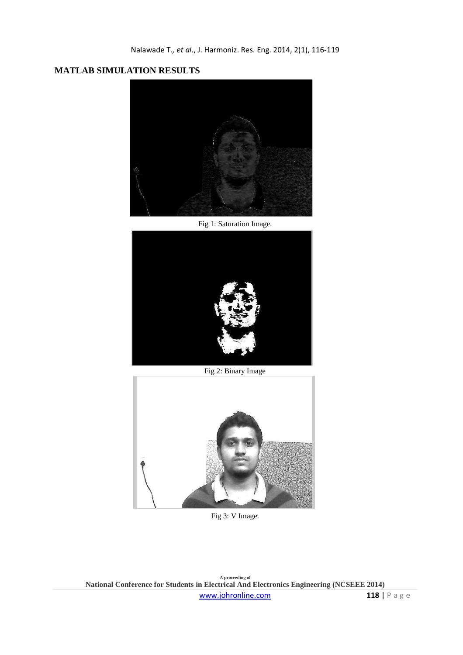# **MATLAB SIMULATION RESULTS**



Fig 1: Saturation Image.



Fig 2: Binary Image



Fig 3: V Image.